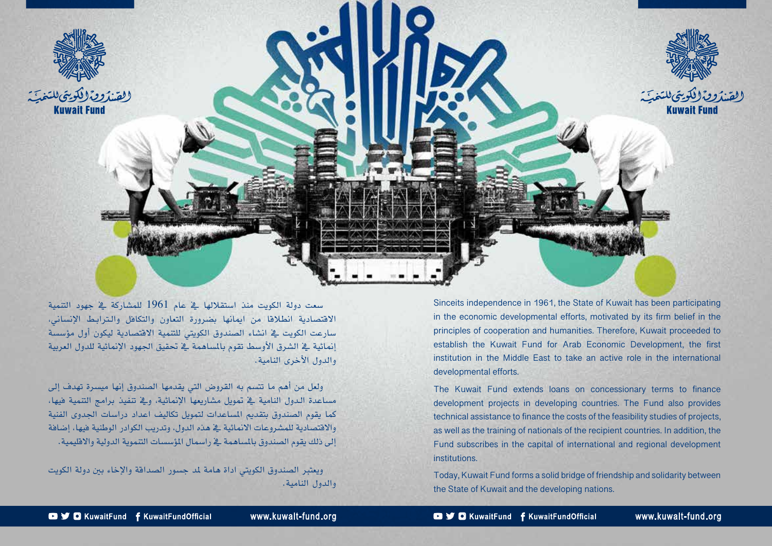

Sinceits independence in 1961, the State of Kuwait has been participating in the economic developmental efforts, motivated by its firm belief in the principles of cooperation and humanities. Therefore, Kuwait proceeded to establish the Kuwait Fund for Arab Economic Development, the first institution in the Middle East to take an active role in the international developmental efforts.

The Kuwait Fund extends loans on concessionary terms to finance development projects in developing countries. The Fund also provides technical assistance to finance the costs of the feasibility studies of projects, as well as the training of nationals of the recipient countries. In addition, the Fund subscribes in the capital of international and regional development .institutions

Today, Kuwait Fund forms a solid bridge of friendship and solidarity between the State of Kuwait and the developing nations.

�شعت دولة الكويت منذ ا�شتقاللها يف عام 1961 للم�شاركة يف جهود التنمية االقت�شادية انطالقا من اميانها ب�ضرورة التعاون والتكافل وال�تراب�ط الإن�شاين، سارعت الكويت ية انشاء الصندوق الكويتي للتنمية الاقتصادية ليكون أول مؤسسة إنمائية في الشرق الأوسط تقوم بالمباهمة في تحقيق الجهود الإنمائية للدول العربية والدول الأخرى النامية.

ولعل من أهم ما تتسم به القروض التي يقدمها الصندوق إنها ميسرة تهدف إلى مساعدة الدول النامية في تمويل مشاريعها الإنمائية، ويف تنفيذ برامج التنمية فيها، كما يقوم الصندوق بتقديم المساعدات لتمويل تكاليف اعداد دراسات الجدوى الفنية والاقتصادية للمشروعات الانمائية ية هذه الدول، وتدريب الكوادر الوطنية فيها، إضافة إلى ذلك يقوم الصندوق بالمباهمة يف راسمال المؤسسات التنموية الدولية والاقليمية.

ويعتبر الصندوق الكويتي اداة هامة لمد جسور الصداقة والإخاء ببن دولة الكويت والدول النامية.

www.kuwait-fund.org